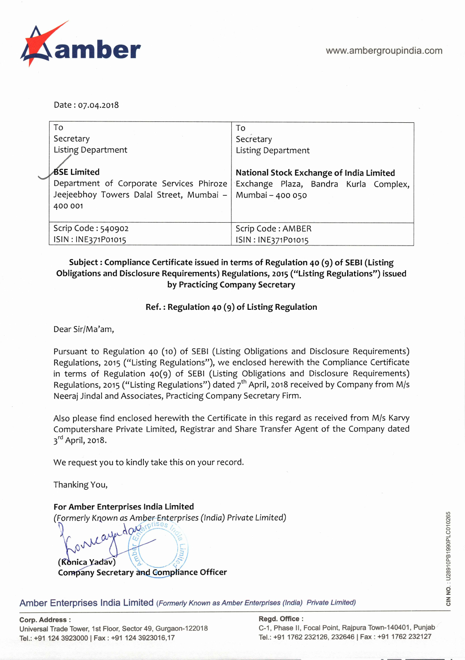

Date: 07.04.2018

| To                                                          | To                                       |
|-------------------------------------------------------------|------------------------------------------|
| Secretary                                                   | Secretary                                |
| <b>Listing Department</b>                                   | <b>Listing Department</b>                |
|                                                             |                                          |
| <b>BSE Limited</b>                                          | National Stock Exchange of India Limited |
| Department of Corporate Services Phiroze                    | Exchange Plaza, Bandra Kurla Complex,    |
| Jeejeebhoy Towers Dalal Street, Mumbai –   Mumbai – 400 050 |                                          |
| 400 001                                                     |                                          |
|                                                             |                                          |
| Scrip Code: 540902                                          | Scrip Code: AMBER                        |
| ISIN: INE371P01015                                          | ISIN: INE371P01015                       |

# **Subject: Compliance Certificate issued in terms of Regulation 40 (9) of SEBI (Listing Obligations and Disclosure Requirements) Regulations, 2015 ("Listing Regulations") issued by Practicing Company Secretary**

### **Ref.: Regulation 40 (9) of Listing Regulation**

Dear Sir/Ma'am,

Pursuant to Regulation 40 (10) of SEBI (Listing Obligations and Disclosure Requirements) Regulations, 2015 ("Listing Regulations"), we enclosed herewith the Compliance Certificate in terms of Regulation 40(9) of SEBI (Listing Obligations and Disclosure Requirements) Regulations, 2015 ("Listing Regulations") dated 7<sup>th</sup> April, 2018 received by Company from M/s Neeraj Jindal and Associates, Practicing Company Secretary Firm.

Also please find enclosed herewith the Certificate in this regard as received from M/s Karvy Computershare Private Limited, Registrar and Share Transfer Agent of the Company dated 3<sup>rd</sup> April, 2018.

We request you to kindly take this on your record.

Thanking You,

 $\int_{0}^{\infty}$ 

**For Amber Enterprises India Limited**  (Formerly Krown as Amber Enterprises (India) Private Limited)

 $\bigcup$ **(Konica Yadav) Company Secretary and Compliance Officer** 

dor

**Amber Enterprises India Limited** (Formerly Known as Amber Enterprises (India) Private Limited)

Universal Trade Tower, 1st Floor, Sector 49, Gurgaon-122018 Tel.: +91 124 3923000 | Fax: +91 124 3923016,17 Tel.: +91 1762 232126, 232646 | Fax: +91 1762 232127

**Corp. Address: Regd. Office:**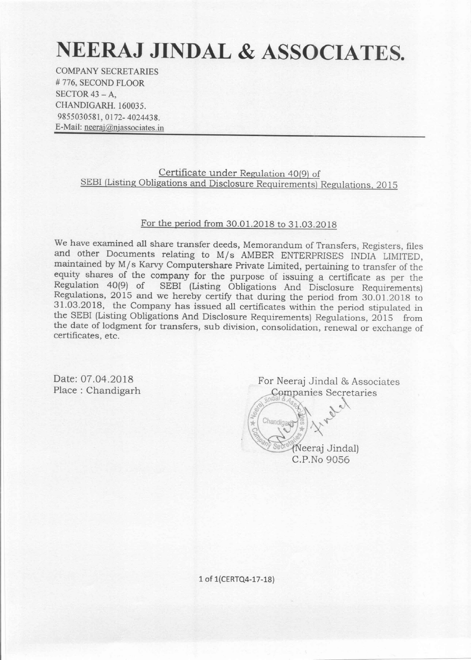# NEERAJ JINDAL & ASSOCIATES.

**COMPANY SECRETARIES** #776, SECOND FLOOR SECTOR  $43 - A$ . CHANDIGARH, 160035. 9855030581, 0172-4024438. E-Mail: neeraj@njassociates.in

> Certificate under Regulation 40(9) of SEBI (Listing Obligations and Disclosure Requirements) Regulations, 2015

### For the period from 30.01.2018 to 31.03.2018

We have examined all share transfer deeds, Memorandum of Transfers, Registers, files and other Documents relating to M/s AMBER ENTERPRISES INDIA LIMITED, maintained by M/s Karvy Computershare Private Limited, pertaining to transfer of the equity shares of the company for the purpose of issuing a certificate as per the Regulation 40(9) of SEBI (Listing Obligations And Disclosure Requirements) Regulations, 2015 and we hereby certify that during the period from 30.01.2018 to 31.03.2018, the Company has issued all certificates within the period stipulated in the SEBI (Listing Obligations And Disclosure Requirements) Regulations, 2015 from the date of lodgment for transfers, sub division, consolidation, renewal or exchange of certificates, etc.

Date: 07.04.2018 Place: Chandigarh

For Neeraj Jindal & Associates Companies Secretaries

> (Neeraj Jindal) C.P.No 9056

Chandigar

1 of 1(CERTQ4-17-18)